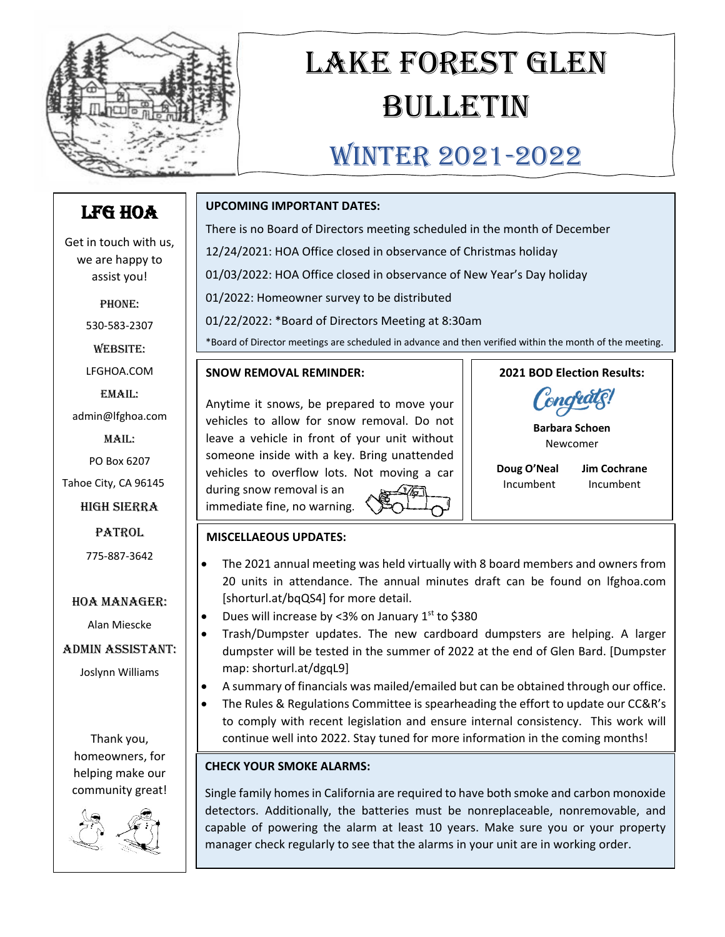

# Lake Forest Glen Bulletin

# WINTER 2021-2022

## LFG HOA

Get in touch with us, we are happy to assist you!

PHONE:

530-583-2307

Website:

LFGHOA.COM

Email: admin@lfghoa.com

Mail:

PO Box 6207

Tahoe City, CA 96145

High Sierra

**PATROL** 

775-887-3642

#### HOA Manager:

Alan Miescke

#### Admin Assistant:

Joslynn Williams

Thank you, homeowners, for helping make our community great!



### **UPCOMING IMPORTANT DATES:**

There is no Board of Directors meeting scheduled in the month of December 12/24/2021: HOA Office closed in observance of Christmas holiday 01/03/2022: HOA Office closed in observance of New Year's Day holiday 01/2022: Homeowner survey to be distributed

01/22/2022: \*Board of Directors Meeting at 8:30am

\*Board of Director meetings are scheduled in advance and then verified within the month of the meeting.

#### **SNOW REMOVAL REMINDER:**

Anytime it snows, be prepared to move your vehicles to allow for snow removal. Do not leave a vehicle in front of your unit without someone inside with a key. Bring unattended vehicles to overflow lots. Not moving a car during snow removal is an immediate fine, no warning.



**Barbara Schoen** Newcomer

**Doug O'Neal Jim Cochrane**

Incumbent Incumbent

#### **MISCELLAEOUS UPDATES:**

- The 2021 annual meeting was held virtually with 8 board members and owners from 20 units in attendance. The annual minutes draft can be found on lfghoa.com [shorturl.at/bqQS4] for more detail.
- Dues will increase by <3% on January  $1<sup>st</sup>$  to \$380
- Trash/Dumpster updates. The new cardboard dumpsters are helping. A larger dumpster will be tested in the summer of 2022 at the end of Glen Bard. [Dumpster map: shorturl.at/dgqL9]
- A summary of financials was mailed/emailed but can be obtained through our office.
- The Rules & Regulations Committee is spearheading the effort to update our CC&R's to comply with recent legislation and ensure internal consistency. This work will continue well into 2022. Stay tuned for more information in the coming months!

#### **CHECK YOUR SMOKE ALARMS:**

Single family homes in California are required to have both smoke and carbon monoxide detectors. Additionally, the batteries must be nonreplaceable, nonremovable, and capable of powering the alarm at least 10 years. Make sure you or your property manager check regularly to see that the alarms in your unit are in working order.